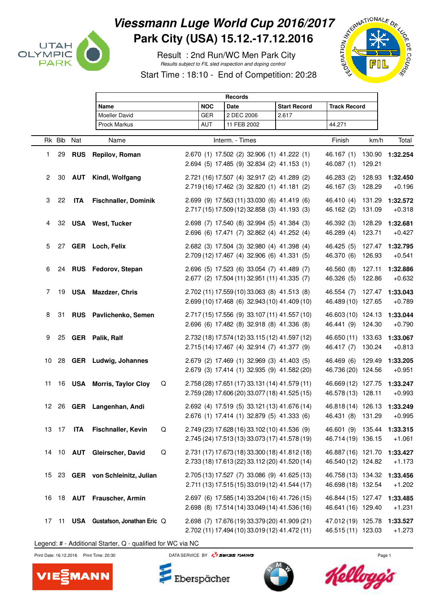

## Viessmann Luge World Cup 2016/2017<br>Park City (USA) 15.12.-17.12.2016<br>Result : 2nd Run/WC Men Park City<br>Start Time : 18:10 - End of Care (19) **Park City (USA) 15.12.-17.12.2016**

 Result : 2nd Run/WC Men Park City Results subject to FIL sled inspection and doping control



Start Time : 18:10 - End of Competition: 20:28

|                 |            | <b>Records</b> |                                 |  |            |                                                                                            |                     |                                          |        |          |  |
|-----------------|------------|----------------|---------------------------------|--|------------|--------------------------------------------------------------------------------------------|---------------------|------------------------------------------|--------|----------|--|
| Name            |            |                |                                 |  | <b>NOC</b> | <b>Date</b>                                                                                | <b>Start Record</b> | <b>Track Record</b>                      |        |          |  |
|                 |            |                | <b>Moeller David</b>            |  | <b>GER</b> | 2 DEC 2006                                                                                 | 2.617               |                                          |        |          |  |
|                 |            |                | Prock Markus                    |  | <b>AUT</b> | 11 FEB 2002                                                                                |                     | 44.271                                   |        |          |  |
|                 |            |                |                                 |  |            |                                                                                            |                     |                                          |        |          |  |
|                 | Rk Bib Nat |                | Name                            |  |            | Interm. - Times                                                                            |                     | Finish                                   | km/h   | Total    |  |
| 1               | 29         | <b>RUS</b>     | Repilov, Roman                  |  |            | 2.670 (1) 17.502 (2) 32.906 (1) 41.222 (1)                                                 |                     | 46.167(1)                                | 130.90 | 1:32.254 |  |
|                 |            |                |                                 |  |            | 2.694 (5) 17.485 (9) 32.834 (2) 41.153 (1)                                                 |                     | 46.087 (1)                               | 129.21 |          |  |
|                 |            |                |                                 |  |            |                                                                                            |                     |                                          |        |          |  |
| $\overline{2}$  | 30         |                | <b>AUT</b> Kindl, Wolfgang      |  |            | 2.721 (16) 17.507 (4) 32.917 (2) 41.289 (2)<br>2.719 (16) 17.462 (3) 32.820 (1) 41.181 (2) |                     | 46.283 (2)                               | 128.93 | 1:32.450 |  |
|                 |            |                |                                 |  |            |                                                                                            |                     | 46.167 (3)                               | 128.29 | $+0.196$ |  |
| 3               | 22         | <b>ITA</b>     | <b>Fischnaller, Dominik</b>     |  |            | 2.699 (9) 17.563 (11) 33.030 (6) 41.419 (6)                                                |                     | 46.410 (4)                               | 131.29 | 1:32.572 |  |
|                 |            |                |                                 |  |            | 2.717 (15) 17.509 (12) 32.858 (3) 41.193 (3)                                               |                     | 46.162 (2)                               | 131.09 | $+0.318$ |  |
| 4               |            |                | 32 USA West, Tucker             |  |            | 2.698 (7) 17.540 (8) 32.994 (5) 41.384 (3)                                                 |                     | 46.392 (3)                               | 128.29 | 1:32.681 |  |
|                 |            |                |                                 |  |            | 2.696 (6) 17.471 (7) 32.862 (4) 41.252 (4)                                                 |                     | 46.289 (4)                               | 123.71 | $+0.427$ |  |
|                 |            |                |                                 |  |            |                                                                                            |                     |                                          |        |          |  |
| 5               |            |                | 27 GER Loch, Felix              |  |            | 2.682 (3) 17.504 (3) 32.980 (4) 41.398 (4)                                                 |                     | 46.425 (5)                               | 127.47 | 1:32.795 |  |
|                 |            |                |                                 |  |            | 2.709 (12) 17.467 (4) 32.906 (6) 41.331 (5)                                                |                     | 46.370 (6)                               | 126.93 | $+0.541$ |  |
| 6               |            |                | 24 RUS Fedorov, Stepan          |  |            | 2.696 (5) 17.523 (6) 33.054 (7) 41.489 (7)                                                 |                     | 46.560 (8)                               | 127.11 | 1:32.886 |  |
|                 |            |                |                                 |  |            | 2.677 (2) 17.504 (11) 32.951 (11) 41.335 (7)                                               |                     | 46.326 (5)                               | 122.86 | $+0.632$ |  |
| 7               | 19         |                | <b>USA</b> Mazdzer, Chris       |  |            | 2.702 (11) 17.559 (10) 33.063 (8) 41.513 (8)                                               |                     | 46.554 (7) 127.47                        |        | 1:33.043 |  |
|                 |            |                |                                 |  |            | 2.699 (10) 17.468 (6) 32.943 (10) 41.409 (10)                                              |                     | 46.489 (10) 127.65                       |        | $+0.789$ |  |
|                 |            |                |                                 |  |            |                                                                                            |                     |                                          |        |          |  |
| 8               | 31         |                | RUS Pavlichenko, Semen          |  |            | 2.717 (15) 17.556 (9) 33.107 (11) 41.557 (10)                                              |                     | 46.603 (10) 124.13                       |        | 1:33.044 |  |
|                 |            |                |                                 |  |            | 2.696 (6) 17.482 (8) 32.918 (8) 41.336 (8)                                                 |                     | 46.441 (9) 124.30                        |        | $+0.790$ |  |
| 9               |            |                | 25 GER Palik, Ralf              |  |            | 2.732 (18) 17.574 (12) 33.115 (12) 41.597 (12)                                             |                     | 46.650 (11) 133.63                       |        | 1:33.067 |  |
|                 |            |                |                                 |  |            | 2.715 (14) 17.467 (4) 32.914 (7) 41.377 (9)                                                |                     | 46.417 (7) 130.24                        |        | $+0.813$ |  |
|                 |            |                |                                 |  |            |                                                                                            |                     |                                          |        |          |  |
| 10              |            |                | 28 GER Ludwig, Johannes         |  |            | 2.679 (2) 17.469 (1) 32.969 (3) 41.403 (5)                                                 |                     | 46.469 (6) 129.49                        |        | 1:33.205 |  |
|                 |            |                |                                 |  |            | 2.679 (3) 17.414 (1) 32.935 (9) 41.582 (20)                                                |                     | 46.736 (20) 124.56                       |        | $+0.951$ |  |
| 11              |            |                | 16 USA Morris, Taylor Cloy<br>Q |  |            | 2.758 (28) 17.651 (17) 33.131 (14) 41.579 (11)                                             |                     | 46.669 (12) 127.75                       |        | 1:33.247 |  |
|                 |            |                |                                 |  |            | 2.759 (28) 17.606 (20) 33.077 (18) 41.525 (15)                                             |                     | 46.578 (13) 128.11                       |        | $+0.993$ |  |
| 12 <sup>2</sup> |            |                | 26 GER Langenhan, Andi          |  |            | 2.692 (4) 17.519 (5) 33.121 (13) 41.676 (14)                                               |                     | 46.818 (14) 126.13 1:33.249              |        |          |  |
|                 |            |                |                                 |  |            | 2.676 (1) 17.414 (1) 32.879 (5) 41.333 (6)                                                 |                     | 46.431 (8) 131.29                        |        | $+0.995$ |  |
|                 |            |                |                                 |  |            |                                                                                            |                     |                                          |        |          |  |
|                 | 13 17      | ITA            | Q<br>Fischnaller, Kevin         |  |            | 2.749 (23) 17.628 (16) 33.102 (10) 41.536 (9)                                              |                     | 46.601 (9) 135.44                        |        | 1:33.315 |  |
|                 |            |                |                                 |  |            | 2.745 (24) 17.513 (13) 33.073 (17) 41.578 (19)                                             |                     | 46.714 (19) 136.15                       |        | $+1.061$ |  |
| 14              |            |                | Q<br>10 AUT Gleirscher, David   |  |            | 2.731 (17) 17.673 (18) 33.300 (18) 41.812 (18)                                             |                     | 46.887 (16) 121.70                       |        | 1:33.427 |  |
|                 |            |                |                                 |  |            | 2.733 (18) 17.613 (22) 33.112 (20) 41.520 (14)                                             |                     | 46.540 (12) 124.82                       |        | $+1.173$ |  |
|                 |            |                | 23 GER von Schleinitz, Julian   |  |            | 2.705 (13) 17.527 (7) 33.086 (9) 41.625 (13)                                               |                     |                                          |        | 1:33.456 |  |
| 15              |            |                |                                 |  |            | 2.711 (13) 17.515 (15) 33.019 (12) 41.544 (17)                                             |                     | 46.758 (13) 134.32<br>46.698 (18) 132.54 |        | $+1.202$ |  |
|                 |            |                |                                 |  |            |                                                                                            |                     |                                          |        |          |  |
| 16              |            |                | 18 AUT Frauscher, Armin         |  |            | 2.697 (6) 17.585 (14) 33.204 (16) 41.726 (15)                                              |                     | 46.844 (15) 127.47                       |        | 1:33.485 |  |
|                 |            |                |                                 |  |            | 2.698 (8) 17.514 (14) 33.049 (14) 41.536 (16)                                              |                     | 46.641 (16) 129.40                       |        | $+1.231$ |  |
| 17              | 11         |                | USA Gustafson, Jonathan Eric Q  |  |            | 2.698 (7) 17.676 (19) 33.379 (20) 41.909 (21)                                              |                     | 47.012 (19) 125.78                       |        | 1:33.527 |  |
|                 |            |                |                                 |  |            | 2.702 (11) 17.494 (10) 33.019 (12) 41.472 (11)                                             |                     | 46.515 (11) 123.03                       |        | $+1.273$ |  |
|                 |            |                |                                 |  |            |                                                                                            |                     |                                          |        |          |  |

Legend: # - Additional Starter, Q - qualified for WC via NC



Eberspächer